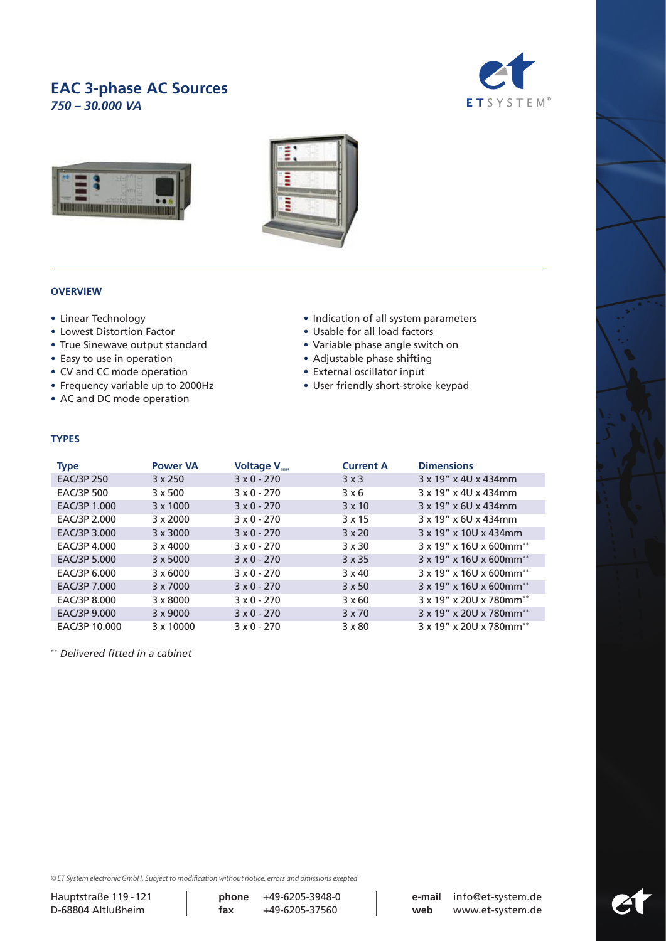# **EAC 3-phase AC Sources** *750 – 30.000 VA*







### **OVERVIEW**

- Linear Technology
- Lowest Distortion Factor
- True Sinewave output standard
- Easy to use in operation
- CV and CC mode operation
- Frequency variable up to 2000Hz
- AC and DC mode operation

#### **TYPES**

| • Indication of all system parameters |  |
|---------------------------------------|--|
|---------------------------------------|--|

- Usable for all load factors
- Variable phase angle switch on
- Adjustable phase shifting
- External oscillator input
- User friendly short-stroke keypad

| <b>Type</b>       | <b>Power VA</b>  | Voltage V <sub>rms</sub> | <b>Current A</b> | <b>Dimensions</b>                           |
|-------------------|------------------|--------------------------|------------------|---------------------------------------------|
| <b>EAC/3P 250</b> | $3 \times 250$   | $3 \times 0 - 270$       | 3x3              | 3 x 19" x 4U x 434mm                        |
| EAC/3P 500        | $3 \times 500$   | $3 \times 0 - 270$       | 3x6              | 3 x 19" x 4U x 434mm                        |
| EAC/3P 1.000      | $3 \times 1000$  | $3 \times 0 - 270$       | $3 \times 10$    | $3 \times 19'' \times 6$ U x 434mm          |
| EAC/3P 2.000      | $3 \times 2000$  | $3 \times 0 - 270$       | $3 \times 15$    | $3 \times 19'' \times 6$ U x 434mm          |
| EAC/3P 3.000      | $3 \times 3000$  | $3 \times 0 - 270$       | $3 \times 20$    | 3 x 19" x 10U x 434mm                       |
| EAC/3P 4.000      | $3 \times 4000$  | $3 \times 0 - 270$       | $3 \times 30$    | 3 x 19" x 16U x 600mm <sup>**</sup>         |
| EAC/3P 5.000      | $3 \times 5000$  | $3 \times 0 - 270$       | $3 \times 35$    | 3 x 19" x 16U x 600mm <sup>**</sup>         |
| EAC/3P 6.000      | $3 \times 6000$  | $3 \times 0 - 270$       | $3 \times 40$    | $3 \times 19''$ x 16U x 600mm <sup>**</sup> |
| EAC/3P 7.000      | 3 x 7000         | $3 \times 0 - 270$       | $3 \times 50$    | 3 x 19" x 16U x 600mm <sup>**</sup>         |
| EAC/3P 8.000      | $3 \times 8000$  | $3 \times 0 - 270$       | $3 \times 60$    | 3 x 19" x 20U x 780mm <sup>**</sup>         |
| EAC/3P 9.000      | $3 \times 9000$  | $3 \times 0 - 270$       | $3 \times 70$    | 3 x 19" x 20U x 780mm <sup>**</sup>         |
| EAC/3P 10.000     | $3 \times 10000$ | $3 \times 0 - 270$       | $3 \times 80$    | 3 x 19" x 20U x 780mm <sup>**</sup>         |

*\*\* Delivered fitted in a cabinet*

© ET System electronic GmbH, Subject to modification without notice, errors and omissions exepted

Hauptstraße 119 -121 **phone** +49-6205-3948-0 **e-mail** info@et-system.de